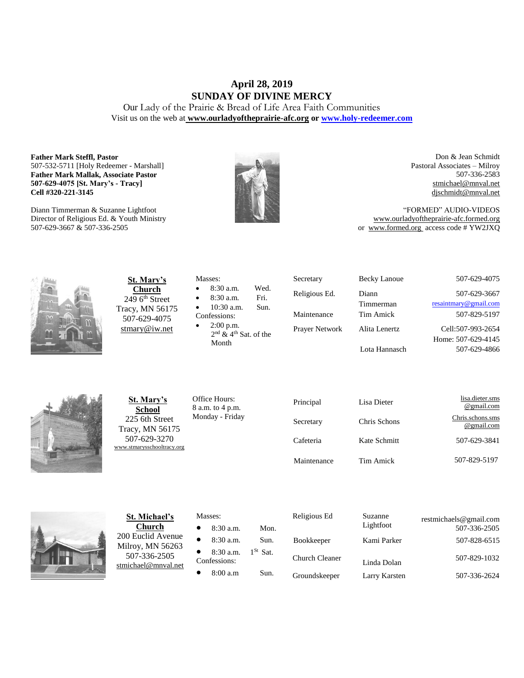# **April 28, 2019 SUNDAY OF DIVINE MERCY**

Our Lady of the Prairie & Bread of Life Area Faith Communities Visit us on the web at **[www.ourladyoftheprairie-afc.org](http://www.ourladyoftheprairie-afc.org/) o[r www.holy-redeemer.com](http://www.holy-redeemer.com/)**

### **Father Mark Steffl, Pastor** 507-532-5711 [Holy Redeemer - Marshall] **Father Mark Mallak, Associate Pastor 507-629-4075 [St. Mary's - Tracy] Cell #320-221-3145**

Diann Timmerman & Suzanne Lightfoot Director of Religious Ed. & Youth Ministry 507-629-3667 & 507-336-2505



Don & Jean Schmidt Pastoral Associates – Milroy 507-336-2583 [stmichael@mnval.net](mailto:stmichael@means.net) [djschmidt@mnval.net](mailto:djschmidt@mnval.net)

"FORMED" AUDIO-VIDEOS [www.ourladyoftheprairie-afc.formed.org](http://www.ourladyoftheprairie-afc.formed.org/) or www.formed.org access code # YW2JXQ



**St. Mary's Church**  $2496$ <sup>th</sup> Street Tracy, MN 56175 507-629-4075 [stmary@iw.net](mailto:stmary@iw.net)

|              | Masses:                             |      |  |  |
|--------------|-------------------------------------|------|--|--|
| $\bullet$    | 8:30 a.m.                           | Wed. |  |  |
| $\bullet$    | 8:30 a.m.                           | Fri. |  |  |
| $\bullet$    | $10:30$ a.m.                        | Sun. |  |  |
| Confessions: |                                     |      |  |  |
| $\bullet$    | $2:00$ p.m.                         |      |  |  |
|              | $2nd$ & 4 <sup>th</sup> Sat. of the |      |  |  |

Secretary Becky Lanoue 507-629-4075 Religious Ed. Diann Timmerman Maintenance Tim Amick 507-829-5197 Prayer Network Alita Lenertz Lota Hannasch

[resaintmary@gmail.com](mailto:resaintmary@gmail.com) Cell:507-993-2654 Home: 507-629-4145 507-629-4866

507-629-3667



**St. Mary's School** 225 6th Street Tracy, MN 56175 507-629-3270 [www.stmarysschooltracy.org](http://www.stmarysschooltracy.org/) Office Hours: 8 a.m. to 4 p.m. Monday - Friday

Month

| Principal   | Lisa Dieter  | lisa.dieter.sms<br>@gmail.com  |
|-------------|--------------|--------------------------------|
| Secretary   | Chris Schons | Chris.schons.sms<br>@gmail.com |
| Cafeteria   | Kate Schmitt | 507-629-3841                   |
| Maintenance | Tim Amick    | 507-829-5197                   |



**St. Michael's Church** 200 Euclid Avenue Milroy, MN 56263 507-336-2505 [stmichael@mnval.net](mailto:stmichael@mnval.net)

# Masses:

• 8:30 a.m. Mon.  $\bullet$  8:30 a.m. Sun. 8:30 a.m. 1<sup>St</sup> Sat. Confessions:  $\bullet$  8:00 a.m Sun.

| Religious Ed          | Suzanne<br>Lightfoot | restmichaels@gmail.com<br>507-336-2505 |
|-----------------------|----------------------|----------------------------------------|
| <b>Bookkeeper</b>     | Kami Parker          | 507-828-6515                           |
| <b>Church Cleaner</b> | Linda Dolan          | 507-829-1032                           |
| Groundskeeper         | Larry Karsten        | 507-336-2624                           |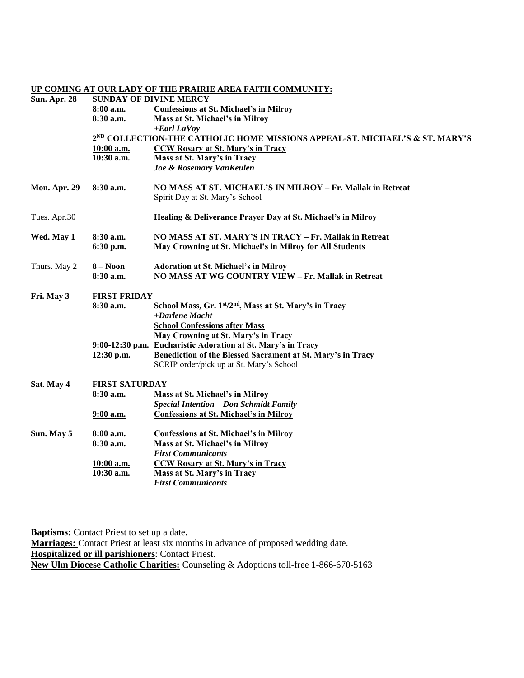## **UP COMING AT OUR LADY OF THE PRAIRIE AREA FAITH COMMUNITY:**

| <b>Sun. Apr. 28</b> | <b>SUNDAY OF DIVINE MERCY</b>                                                           |                                                             |  |  |  |
|---------------------|-----------------------------------------------------------------------------------------|-------------------------------------------------------------|--|--|--|
|                     | 8:00 a.m.                                                                               | <b>Confessions at St. Michael's in Milroy</b>               |  |  |  |
|                     | 8:30 a.m.                                                                               | Mass at St. Michael's in Milroy                             |  |  |  |
|                     |                                                                                         | $+$ <i>Earl LaVoy</i>                                       |  |  |  |
|                     | 2 <sup>ND</sup> COLLECTION-THE CATHOLIC HOME MISSIONS APPEAL-ST. MICHAEL'S & ST. MARY'S |                                                             |  |  |  |
|                     | 10:00 a.m.                                                                              | <b>CCW Rosary at St. Mary's in Tracy</b>                    |  |  |  |
|                     | 10:30 a.m.                                                                              | Mass at St. Mary's in Tracy                                 |  |  |  |
|                     |                                                                                         | Joe & Rosemary VanKeulen                                    |  |  |  |
| <b>Mon. Apr. 29</b> | 8:30 a.m.                                                                               | NO MASS AT ST. MICHAEL'S IN MILROY - Fr. Mallak in Retreat  |  |  |  |
|                     |                                                                                         | Spirit Day at St. Mary's School                             |  |  |  |
| Tues. Apr.30        |                                                                                         | Healing & Deliverance Prayer Day at St. Michael's in Milroy |  |  |  |
| Wed. May 1          | 8:30 a.m.                                                                               | NO MASS AT ST. MARY'S IN TRACY - Fr. Mallak in Retreat      |  |  |  |
|                     | 6:30 p.m.                                                                               | May Crowning at St. Michael's in Milroy for All Students    |  |  |  |
| Thurs. May 2        | $8 - Noon$                                                                              | <b>Adoration at St. Michael's in Milroy</b>                 |  |  |  |
|                     | 8:30 a.m.                                                                               | NO MASS AT WG COUNTRY VIEW - Fr. Mallak in Retreat          |  |  |  |
| Fri. May 3          | <b>FIRST FRIDAY</b>                                                                     |                                                             |  |  |  |
|                     | 8:30 a.m.                                                                               | School Mass, Gr. 1st/2nd, Mass at St. Mary's in Tracy       |  |  |  |
|                     |                                                                                         | +Darlene Macht                                              |  |  |  |
|                     |                                                                                         | <b>School Confessions after Mass</b>                        |  |  |  |
|                     |                                                                                         | May Crowning at St. Mary's in Tracy                         |  |  |  |
|                     | $9:00-12:30$ p.m.                                                                       | <b>Eucharistic Adoration at St. Mary's in Tracy</b>         |  |  |  |
|                     | 12:30 p.m.                                                                              | Benediction of the Blessed Sacrament at St. Mary's in Tracy |  |  |  |
|                     |                                                                                         | SCRIP order/pick up at St. Mary's School                    |  |  |  |
| Sat. May 4          | <b>FIRST SATURDAY</b>                                                                   |                                                             |  |  |  |
|                     | 8:30 a.m.                                                                               | Mass at St. Michael's in Milroy                             |  |  |  |
|                     |                                                                                         | <b>Special Intention - Don Schmidt Family</b>               |  |  |  |
|                     | $9:00$ a.m.                                                                             | <b>Confessions at St. Michael's in Milroy</b>               |  |  |  |
| Sun. May 5          | 8:00 a.m.                                                                               | <b>Confessions at St. Michael's in Milroy</b>               |  |  |  |
|                     | 8:30 a.m.                                                                               | Mass at St. Michael's in Milroy                             |  |  |  |
|                     |                                                                                         | <b>First Communicants</b>                                   |  |  |  |
|                     | 10:00 a.m.                                                                              | <b>CCW Rosary at St. Mary's in Tracy</b>                    |  |  |  |
|                     | 10:30 a.m.                                                                              | Mass at St. Mary's in Tracy                                 |  |  |  |
|                     |                                                                                         | <b>First Communicants</b>                                   |  |  |  |

**Baptisms:** Contact Priest to set up a date.

**Marriages:** Contact Priest at least six months in advance of proposed wedding date. **Hospitalized or ill parishioners**: Contact Priest. **New Ulm Diocese Catholic Charities:** Counseling & Adoptions toll-free 1-866-670-5163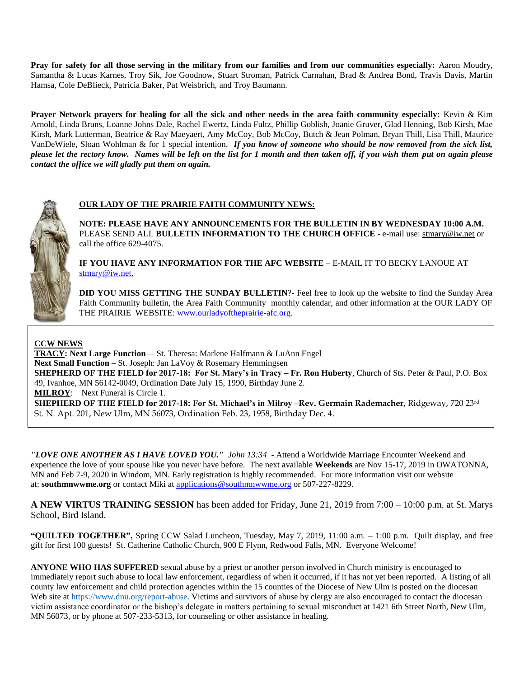**Pray for safety for all those serving in the military from our families and from our communities especially:** Aaron Moudry, Samantha & Lucas Karnes, Troy Sik, Joe Goodnow, Stuart Stroman, Patrick Carnahan, Brad & Andrea Bond, Travis Davis, Martin Hamsa, Cole DeBlieck, Patricia Baker, Pat Weisbrich, and Troy Baumann.

**Prayer Network prayers for healing for all the sick and other needs in the area faith community especially:** Kevin & Kim Arnold, Linda Bruns, Loanne Johns Dale, Rachel Ewertz, Linda Fultz, Phillip Goblish, Joanie Gruver, Glad Henning, Bob Kirsh, Mae Kirsh, Mark Lutterman, Beatrice & Ray Maeyaert, Amy McCoy, Bob McCoy, Butch & Jean Polman, Bryan Thill, Lisa Thill, Maurice VanDeWiele, Sloan Wohlman & for 1 special intention. *If you know of someone who should be now removed from the sick list, please let the rectory know. Names will be left on the list for 1 month and then taken off, if you wish them put on again please contact the office we will gladly put them on again.*



# **OUR LADY OF THE PRAIRIE FAITH COMMUNITY NEWS:**

**NOTE: PLEASE HAVE ANY ANNOUNCEMENTS FOR THE BULLETIN IN BY WEDNESDAY 10:00 A.M.** PLEASE SEND ALL **BULLETIN INFORMATION TO THE CHURCH OFFICE** - e-mail use[: stmary@iw.net](mailto:stmary@iw.net) or call the office 629-4075.

**IF YOU HAVE ANY INFORMATION FOR THE AFC WEBSITE** – E-MAIL IT TO BECKY LANOUE AT [stmary@iw.net.](mailto:stmary@iw.net)

**DID YOU MISS GETTING THE SUNDAY BULLETIN?**- Feel free to look up the website to find the Sunday Area Faith Community bulletin, the Area Faith Community monthly calendar, and other information at the OUR LADY OF THE PRAIRIE WEBSITE: [www.ourladyoftheprairie-afc.org.](http://www.ourladyoftheprairie-afc.org/)

# **CCW NEWS**

**TRACY: Next Large Function**— St. Theresa: Marlene Halfmann & LuAnn Engel **Next Small Function –** St. Joseph: Jan LaVoy & Rosemary Hemmingsen **SHEPHERD OF THE FIELD for 2017-18: For St. Mary's in Tracy – Fr. Ron Huberty**, Church of Sts. Peter & Paul, P.O. Box 49, Ivanhoe, MN 56142-0049, Ordination Date July 15, 1990, Birthday June 2. **MILROY**: Next Funeral is Circle 1. **SHEPHERD OF THE FIELD for 2017-18: For St. Michael's in Milroy –Rev. Germain Rademacher,** Ridgeway, 720 23rd St. N. Apt. 201, New Ulm, MN 56073, Ordination Feb. 23, 1958, Birthday Dec. 4.

*"LOVE ONE ANOTHER AS I HAVE LOVED YOU." John 13:34* - Attend a Worldwide Marriage Encounter Weekend and experience the love of your spouse like you never have before. The next available **Weekends** are Nov 15-17, 2019 in OWATONNA, MN and Feb 7-9, 2020 in Windom, MN. Early registration is highly recommended. For more information visit our website at: **southmnwwme.org** or contact Miki at [applications@southmnwwme.org](mailto:wmandbethnickles@hotmail.com) or 507-227-8229.

**A NEW VIRTUS TRAINING SESSION** has been added for Friday, June 21, 2019 from 7:00 – 10:00 p.m. at St. Marys School, Bird Island.

**"QUILTED TOGETHER",** Spring CCW Salad Luncheon, Tuesday, May 7, 2019, 11:00 a.m. – 1:00 p.m. Quilt display, and free gift for first 100 guests! St. Catherine Catholic Church, 900 E Flynn, Redwood Falls, MN. Everyone Welcome!

**ANYONE WHO HAS SUFFERED** sexual abuse by a priest or another person involved in Church ministry is encouraged to immediately report such abuse to local law enforcement, regardless of when it occurred, if it has not yet been reported. A listing of all county law enforcement and child protection agencies within the 15 counties of the Diocese of New Ulm is posted on the diocesan Web site a[t https://www.dnu.org/report-abuse.](https://www.dnu.org/report-abuse) Victims and survivors of abuse by clergy are also encouraged to contact the diocesan victim assistance coordinator or the bishop's delegate in matters pertaining to sexual misconduct at 1421 6th Street North, New Ulm, MN 56073, or by phone at 507-233-5313, for counseling or other assistance in healing.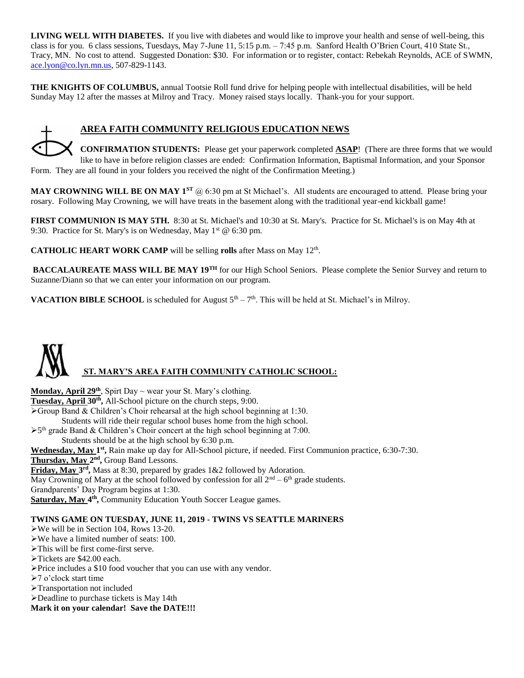**LIVING WELL WITH DIABETES.** If you live with diabetes and would like to improve your health and sense of well-being, this class is for you. 6 class sessions, Tuesdays, May 7-June 11, 5:15 p.m. – 7:45 p.m. Sanford Health O'Brien Court, 410 State St., Tracy, MN. No cost to attend. Suggested Donation: \$30. For information or to register, contact: Rebekah Reynolds, ACE of SWMN, [ace.lyon@co.lyn.mn.us,](mailto:ace.lyon@co.lyn.mn.us) 507-829-1143.

**THE KNIGHTS OF COLUMBUS,** annual Tootsie Roll fund drive for helping people with intellectual disabilities, will be held Sunday May 12 after the masses at Milroy and Tracy. Money raised stays locally. Thank-you for your support.

# **AREA FAITH COMMUNITY RELIGIOUS EDUCATION NEWS**

**CONFIRMATION STUDENTS:** Please get your paperwork completed **ASAP**! (There are three forms that we would like to have in before religion classes are ended: Confirmation Information, Baptismal Information, and your Sponsor Form. They are all found in your folders you received the night of the Confirmation Meeting.)

**MAY CROWNING WILL BE ON MAY 1<sup>ST</sup> @ 6:30 pm at St Michael's. All students are encouraged to attend. Please bring your** rosary. Following May Crowning, we will have treats in the basement along with the traditional year-end kickball game!

**FIRST COMMUNION IS MAY 5TH.** 8:30 at St. Michael's and 10:30 at St. Mary's. Practice for St. Michael's is on May 4th at 9:30. Practice for St. Mary's is on Wednesday, May 1<sup>st</sup> @ 6:30 pm.

**CATHOLIC HEART WORK CAMP** will be selling **rolls** after Mass on May 12<sup>th</sup>.

**BACCALAUREATE MASS WILL BE MAY 19TH** for our High School Seniors. Please complete the Senior Survey and return to Suzanne/Diann so that we can enter your information on our program.

**VACATION BIBLE SCHOOL** is scheduled for August  $5<sup>th</sup> - 7<sup>th</sup>$ . This will be held at St. Michael's in Milroy.

# **ST. MARY'S AREA FAITH COMMUNITY CATHOLIC SCHOOL:**

**Monday, April 29th**, Spirt Day ~ wear your St. Mary's clothing. **Tuesday, April 30th ,** All-School picture on the church steps, 9:00.  $\triangleright$  Group Band & Children's Choir rehearsal at the high school beginning at 1:30. Students will ride their regular school buses home from the high school.

>5<sup>th</sup> grade Band & Children's Choir concert at the high school beginning at 7:00. Students should be at the high school by 6:30 p.m.

Wednesday, May 1<sup>st</sup>, Rain make up day for All-School picture, if needed. First Communion practice, 6:30-7:30. Thursday, May 2<sup>nd</sup>, Group Band Lessons.

Friday, May 3<sup>rd</sup>, Mass at 8:30, prepared by grades 1&2 followed by Adoration.

May Crowning of Mary at the school followed by confession for all  $2<sup>nd</sup> - 6<sup>th</sup>$  grade students.

Grandparents' Day Program begins at 1:30.

Saturday, May 4<sup>th</sup>, Community Education Youth Soccer League games.

# **TWINS GAME ON TUESDAY, JUNE 11, 2019 - TWINS VS SEATTLE MARINERS**

We will be in Section 104, Rows 13-20.

We have a limited number of seats: 100.

- This will be first come-first serve.
- Tickets are \$42.00 each.
- Price includes a \$10 food voucher that you can use with any vendor.
- >7 o'clock start time
- Transportation not included
- Deadline to purchase tickets is May 14th

**Mark it on your calendar! Save the DATE!!!**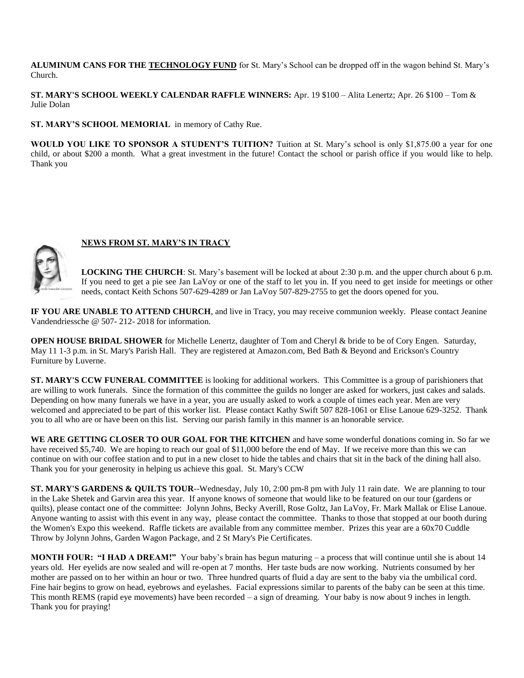**ALUMINUM CANS FOR THE TECHNOLOGY FUND** for St. Mary's School can be dropped off in the wagon behind St. Mary's Church.

**ST. MARY'S SCHOOL WEEKLY CALENDAR RAFFLE WINNERS:** Apr. 19 \$100 – Alita Lenertz; Apr. 26 \$100 – Tom & Julie Dolan

**ST. MARY'S SCHOOL MEMORIAL** in memory of Cathy Rue.

**WOULD YOU LIKE TO SPONSOR A STUDENT'S TUITION?** Tuition at St. Mary's school is only \$1,875.00 a year for one child, or about \$200 a month. What a great investment in the future! Contact the school or parish office if you would like to help. Thank you



# **NEWS FROM ST. MARY'S IN TRACY**

**LOCKING THE CHURCH**: St. Mary's basement will be locked at about 2:30 p.m. and the upper church about 6 p.m. If you need to get a pie see Jan LaVoy or one of the staff to let you in. If you need to get inside for meetings or other needs, contact Keith Schons 507-629-4289 or Jan LaVoy 507-829-2755 to get the doors opened for you.

**IF YOU ARE UNABLE TO ATTEND CHURCH**, and live in Tracy, you may receive communion weekly. Please contact Jeanine Vandendriessche @ 507- 212- 2018 for information.

**OPEN HOUSE BRIDAL SHOWER** for Michelle Lenertz, daughter of Tom and Cheryl & bride to be of Cory Engen. Saturday, May 11 1-3 p.m. in St. Mary's Parish Hall. They are registered at Amazon.com, Bed Bath & Beyond and Erickson's Country Furniture by Luverne.

**ST. MARY'S CCW FUNERAL COMMITTEE** is looking for additional workers. This Committee is a group of parishioners that are willing to work funerals. Since the formation of this committee the guilds no longer are asked for workers, just cakes and salads. Depending on how many funerals we have in a year, you are usually asked to work a couple of times each year. Men are very welcomed and appreciated to be part of this worker list. Please contact Kathy Swift 507 828-1061 or Elise Lanoue 629-3252. Thank you to all who are or have been on this list. Serving our parish family in this manner is an honorable service.

**WE ARE GETTING CLOSER TO OUR GOAL FOR THE KITCHEN** and have some wonderful donations coming in. So far we have received \$5,740. We are hoping to reach our goal of \$11,000 before the end of May. If we receive more than this we can continue on with our coffee station and to put in a new closet to hide the tables and chairs that sit in the back of the dining hall also. Thank you for your generosity in helping us achieve this goal. St. Mary's CCW

**ST. MARY'S GARDENS & QUILTS TOUR**--Wednesday, July 10, 2:00 pm-8 pm with July 11 rain date. We are planning to tour in the Lake Shetek and Garvin area this year. If anyone knows of someone that would like to be featured on our tour (gardens or quilts), please contact one of the committee: Jolynn Johns, Becky Averill, Rose Goltz, Jan LaVoy, Fr. Mark Mallak or Elise Lanoue. Anyone wanting to assist with this event in any way, please contact the committee. Thanks to those that stopped at our booth during the Women's Expo this weekend. Raffle tickets are available from any committee member. Prizes this year are a 60x70 Cuddle Throw by Jolynn Johns, Garden Wagon Package, and 2 St Mary's Pie Certificates.

**MONTH FOUR: "I HAD A DREAM!"** Your baby's brain has begun maturing – a process that will continue until she is about 14 years old. Her eyelids are now sealed and will re-open at 7 months. Her taste buds are now working. Nutrients consumed by her mother are passed on to her within an hour or two. Three hundred quarts of fluid a day are sent to the baby via the umbilical cord. Fine hair begins to grow on head, eyebrows and eyelashes. Facial expressions similar to parents of the baby can be seen at this time. This month REMS (rapid eye movements) have been recorded – a sign of dreaming. Your baby is now about 9 inches in length. Thank you for praying!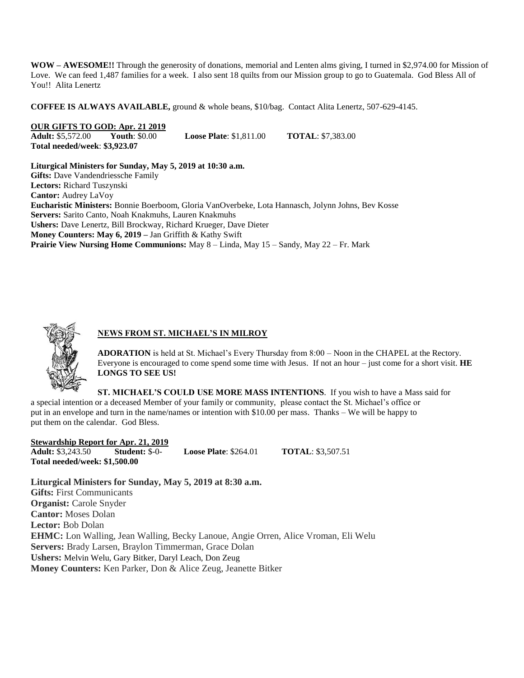**WOW – AWESOME!!** Through the generosity of donations, memorial and Lenten alms giving, I turned in \$2,974.00 for Mission of Love. We can feed 1,487 families for a week. I also sent 18 quilts from our Mission group to go to Guatemala. God Bless All of You!! Alita Lenertz

**COFFEE IS ALWAYS AVAILABLE,** ground & whole beans, \$10/bag. Contact Alita Lenertz, 507-629-4145.

# **OUR GIFTS TO GOD: Apr. 21 2019**<br>**Adult:** \$5,572.00 Youth: \$0.00

**Adult: \$0.00 <b>Loose Plate**: \$1,811.00 **TOTAL**: \$7,383.00 **Total needed/week**: **\$3,923.07**

**Liturgical Ministers for Sunday, May 5, 2019 at 10:30 a.m. Gifts:** Dave Vandendriessche Family **Lectors:** Richard Tuszynski **Cantor:** Audrey LaVoy **Eucharistic Ministers:** Bonnie Boerboom, Gloria VanOverbeke, Lota Hannasch, Jolynn Johns, Bev Kosse **Servers:** Sarito Canto, Noah Knakmuhs, Lauren Knakmuhs **Ushers:** Dave Lenertz, Bill Brockway, Richard Krueger, Dave Dieter **Money Counters: May 6, 2019 –** Jan Griffith & Kathy Swift **Prairie View Nursing Home Communions:** May 8 – Linda, May 15 – Sandy, May 22 – Fr. Mark



# **NEWS FROM ST. MICHAEL'S IN MILROY**

**ADORATION** is held at St. Michael's Every Thursday from 8:00 – Noon in the CHAPEL at the Rectory. Everyone is encouraged to come spend some time with Jesus. If not an hour – just come for a short visit. **HE LONGS TO SEE US!**

**ST. MICHAEL'S COULD USE MORE MASS INTENTIONS**. If you wish to have a Mass said for a special intention or a deceased Member of your family or community, please contact the St. Michael's office or put in an envelope and turn in the name/names or intention with \$10.00 per mass. Thanks – We will be happy to put them on the calendar. God Bless.

**Stewardship Report for Apr. 21, 2019 Adult:** \$3,243.50 **Student:** \$-0- **Loose Plate**: \$264.01 **TOTAL**: \$3,507.51 **Total needed/week: \$1,500.00**

**Liturgical Ministers for Sunday, May 5, 2019 at 8:30 a.m. Gifts:** First Communicants **Organist:** Carole Snyder **Cantor:** Moses Dolan **Lector:** Bob Dolan **EHMC:** Lon Walling, Jean Walling, Becky Lanoue, Angie Orren, Alice Vroman, Eli Welu **Servers:** Brady Larsen, Braylon Timmerman, Grace Dolan **Ushers:** Melvin Welu, Gary Bitker, Daryl Leach, Don Zeug **Money Counters:** Ken Parker, Don & Alice Zeug, Jeanette Bitker